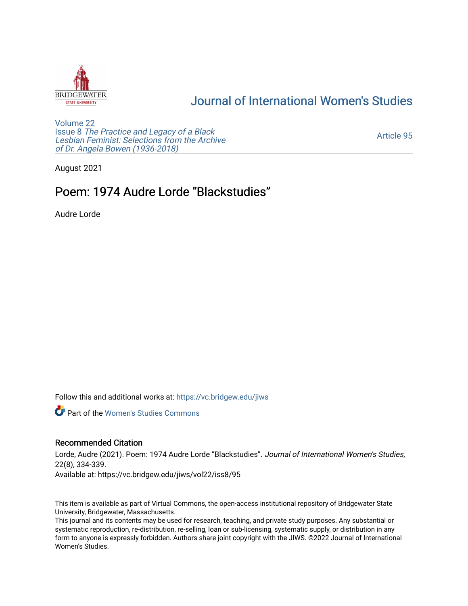

# [Journal of International Women's Studies](https://vc.bridgew.edu/jiws)

[Volume 22](https://vc.bridgew.edu/jiws/vol22) Issue 8 [The Practice and Legacy of a Black](https://vc.bridgew.edu/jiws/vol22/iss8)  [Lesbian Feminist: Selections from the Archive](https://vc.bridgew.edu/jiws/vol22/iss8)  [of Dr. Angela Bowen \(1936-2018\)](https://vc.bridgew.edu/jiws/vol22/iss8)

[Article 95](https://vc.bridgew.edu/jiws/vol22/iss8/95) 

August 2021

# Poem: 1974 Audre Lorde "Blackstudies"

Audre Lorde

Follow this and additional works at: [https://vc.bridgew.edu/jiws](https://vc.bridgew.edu/jiws?utm_source=vc.bridgew.edu%2Fjiws%2Fvol22%2Fiss8%2F95&utm_medium=PDF&utm_campaign=PDFCoverPages)

**C** Part of the Women's Studies Commons

#### Recommended Citation

Lorde, Audre (2021). Poem: 1974 Audre Lorde "Blackstudies". Journal of International Women's Studies, 22(8), 334-339.

Available at: https://vc.bridgew.edu/jiws/vol22/iss8/95

This item is available as part of Virtual Commons, the open-access institutional repository of Bridgewater State University, Bridgewater, Massachusetts.

This journal and its contents may be used for research, teaching, and private study purposes. Any substantial or systematic reproduction, re-distribution, re-selling, loan or sub-licensing, systematic supply, or distribution in any form to anyone is expressly forbidden. Authors share joint copyright with the JIWS. ©2022 Journal of International Women's Studies.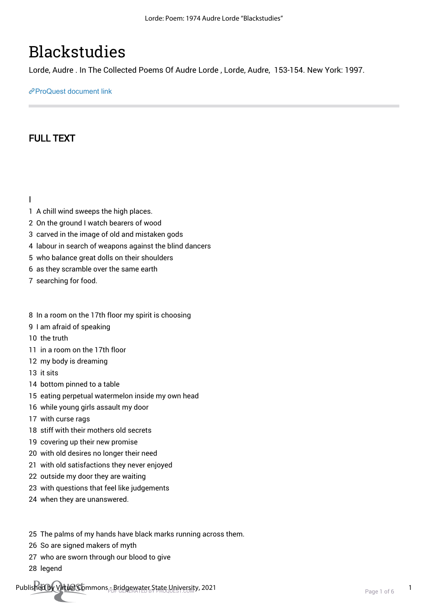# **Blackstudies**

Lorde, Audre . In The Collected Poems Of Audre Lorde , Lorde, Audre, 153-154. New York: 1997.

[ProQuest document link](http://ccl.idm.oclc.org/login?url=https://www.proquest.com/books/blackstudies/docview/2147553333/se-2?accountid=10141)

## FULL TEXT

I

- 1 A chill wind sweeps the high places.
- 2 On the ground I watch bearers of wood
- 3 carved in the image of old and mistaken gods
- 4 labour in search of weapons against the blind dancers
- 5 who balance great dolls on their shoulders
- 6 as they scramble over the same earth
- 7 searching for food.
- 8 In a room on the 17th floor my spirit is choosing
- 9 I am afraid of speaking
- 10 the truth
- 11 in a room on the 17th floor
- 12 my body is dreaming
- 13 it sits
- 14 bottom pinned to a table
- 15 eating perpetual watermelon inside my own head
- 16 while young girls assault my door
- 17 with curse rags
- 18 stiff with their mothers old secrets
- 19 covering up their new promise
- 20 with old desires no longer their need
- 21 with old satisfactions they never enjoyed
- 22 outside my door they are waiting
- 23 with questions that feel like judgements
- 24 when they are unanswered.
- 25 The palms of my hands have black marks running across them.
- 26 So are signed makers of myth
- 27 who are sworn through our blood to give
- 28 legend

Published by Virtual Commons - Bridgewater State University, 2021<br>Page 1 of 6 1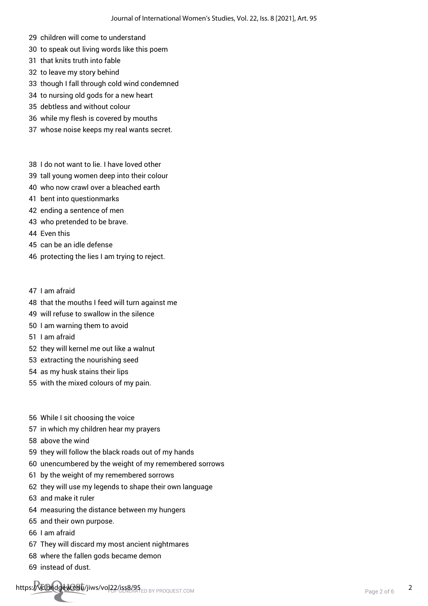- 29 children will come to understand
- 30 to speak out living words like this poem
- 31 that knits truth into fable
- 32 to leave my story behind
- 33 though I fall through cold wind condemned
- 34 to nursing old gods for a new heart
- 35 debtless and without colour
- 36 while my flesh is covered by mouths
- 37 whose noise keeps my real wants secret.
- 38 I do not want to lie. I have loved other
- 39 tall young women deep into their colour
- 40 who now crawl over a bleached earth
- 41 bent into questionmarks
- 42 ending a sentence of men
- 43 who pretended to be brave.
- 44 Even this
- 45 can be an idle defense
- 46 protecting the lies I am trying to reject.
- 47 I am afraid
- 48 that the mouths I feed will turn against me
- 49 will refuse to swallow in the silence
- 50 I am warning them to avoid
- 51 I am afraid
- 52 they will kernel me out like a walnut
- 53 extracting the nourishing seed
- 54 as my husk stains their lips
- 55 with the mixed colours of my pain.
- 56 While I sit choosing the voice
- 57 in which my children hear my prayers
- 58 above the wind
- 59 they will follow the black roads out of my hands
- 60 unencumbered by the weight of my remembered sorrows
- 61 by the weight of my remembered sorrows
- 62 they will use my legends to shape their own language
- 63 and make it ruler
- 64 measuring the distance between my hungers
- 65 and their own purpose.
- 66 I am afraid
- 67 They will discard my most ancient nightmares
- 68 where the fallen gods became demon
- 69 instead of dust.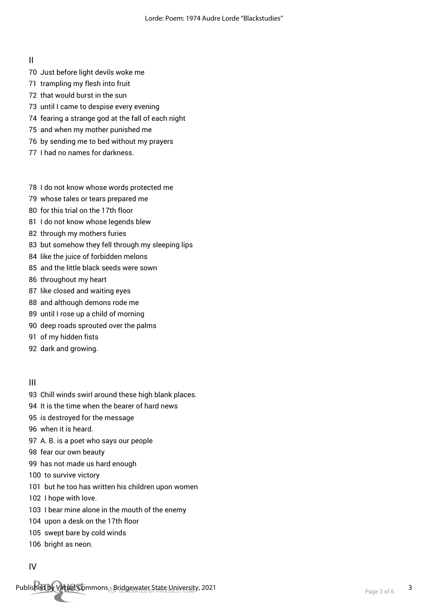II

- 70 Just before light devils woke me
- 71 trampling my flesh into fruit
- 72 that would burst in the sun
- 73 until I came to despise every evening
- 74 fearing a strange god at the fall of each night
- 75 and when my mother punished me
- 76 by sending me to bed without my prayers
- 77 I had no names for darkness.
- 78 I do not know whose words protected me
- 79 whose tales or tears prepared me
- 80 for this trial on the 17th floor
- 81 I do not know whose legends blew
- 82 through my mothers furies
- 83 but somehow they fell through my sleeping lips
- 84 like the juice of forbidden melons
- 85 and the little black seeds were sown
- 86 throughout my heart
- 87 like closed and waiting eyes
- 88 and although demons rode me
- 89 until I rose up a child of morning
- 90 deep roads sprouted over the palms
- 91 of my hidden fists
- 92 dark and growing.

#### III

- 93 Chill winds swirl around these high blank places.
- 94 It is the time when the bearer of hard news
- 95 is destroyed for the message
- 96 when it is heard.
- 97 A. B. is a poet who says our people
- 98 fear our own beauty
- 99 has not made us hard enough
- 100 to survive victory
- 101 but he too has written his children upon women
- 102 I hope with love.
- 103 I bear mine alone in the mouth of the enemy
- 104 upon a desk on the 17th floor
- 105 swept bare by cold winds
- 106 bright as neon.

#### IV

Published by Virtual Commons - Bridgewater State University, 2021<br>Page 3 of 6 3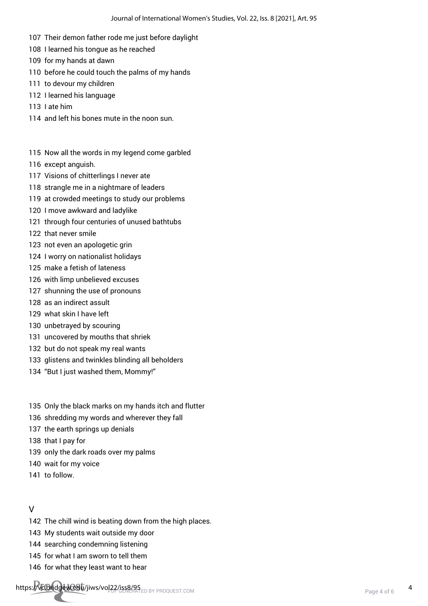- 107 Their demon father rode me just before daylight
- 108 I learned his tongue as he reached
- 109 for my hands at dawn
- 110 before he could touch the palms of my hands
- 111 to devour my children
- 112 I learned his language
- 113 I ate him
- 114 and left his bones mute in the noon sun.
- 115 Now all the words in my legend come garbled
- 116 except anguish.
- 117 Visions of chitterlings I never ate
- 118 strangle me in a nightmare of leaders
- 119 at crowded meetings to study our problems
- 120 I move awkward and ladylike
- 121 through four centuries of unused bathtubs
- 122 that never smile
- 123 not even an apologetic grin
- 124 I worry on nationalist holidays
- 125 make a fetish of lateness
- 126 with limp unbelieved excuses
- 127 shunning the use of pronouns
- 128 as an indirect assult
- 129 what skin I have left
- 130 unbetrayed by scouring
- 131 uncovered by mouths that shriek
- 132 but do not speak my real wants
- 133 glistens and twinkles blinding all beholders
- 134 "But I just washed them, Mommy!"
- 135 Only the black marks on my hands itch and flutter
- 136 shredding my words and wherever they fall
- 137 the earth springs up denials
- 138 that I pay for
- 139 only the dark roads over my palms
- 140 wait for my voice
- 141 to follow.

#### V

- 142 The chill wind is beating down from the high places.
- 143 My students wait outside my door
- 144 searching condemning listening
- 145 for what I am sworn to tell them
- 146 for what they least want to hear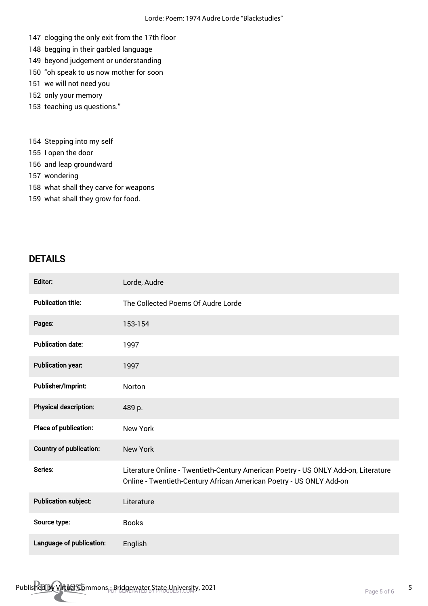- 147 clogging the only exit from the 17th floor
- 148 begging in their garbled language
- 149 beyond judgement or understanding
- 150 "oh speak to us now mother for soon
- 151 we will not need you
- 152 only your memory
- 153 teaching us questions."
- 154 Stepping into my self
- 155 I open the door
- 156 and leap groundward
- 157 wondering
- 158 what shall they carve for weapons
- 159 what shall they grow for food.

## DETAILS

| Editor:                        | Lorde, Audre                                                                                                                                              |
|--------------------------------|-----------------------------------------------------------------------------------------------------------------------------------------------------------|
| <b>Publication title:</b>      | The Collected Poems Of Audre Lorde                                                                                                                        |
| Pages:                         | 153-154                                                                                                                                                   |
| <b>Publication date:</b>       | 1997                                                                                                                                                      |
| <b>Publication year:</b>       | 1997                                                                                                                                                      |
| Publisher/Imprint:             | Norton                                                                                                                                                    |
| <b>Physical description:</b>   | 489 p.                                                                                                                                                    |
| Place of publication:          | <b>New York</b>                                                                                                                                           |
| <b>Country of publication:</b> | <b>New York</b>                                                                                                                                           |
| Series:                        | Literature Online - Twentieth-Century American Poetry - US ONLY Add-on, Literature<br>Online - Twentieth-Century African American Poetry - US ONLY Add-on |
| <b>Publication subject:</b>    | Literature                                                                                                                                                |
| Source type:                   | <b>Books</b>                                                                                                                                              |
| Language of publication:       | English                                                                                                                                                   |